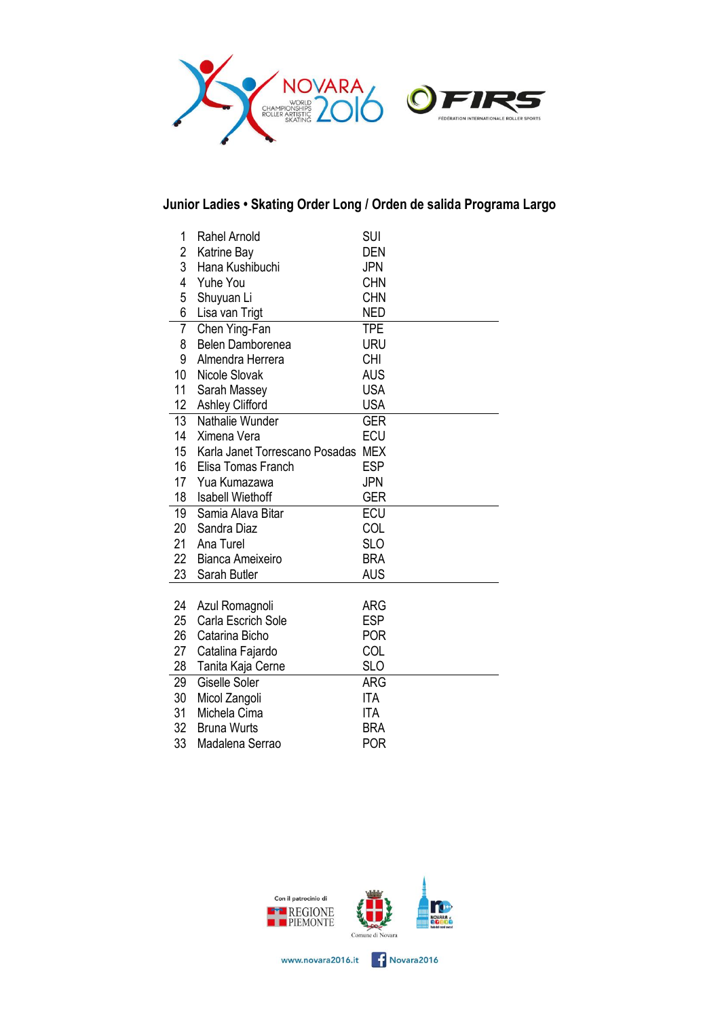

## **Junior Ladies • Skating Order Long / Orden de salida Programa Largo**

| 1              | <b>Rahel Arnold</b>            | <b>SUI</b> |
|----------------|--------------------------------|------------|
| $\overline{c}$ | Katrine Bay                    | <b>DEN</b> |
| 3              | Hana Kushibuchi                | <b>JPN</b> |
| 4              | Yuhe You                       | <b>CHN</b> |
| 5              | Shuyuan Li                     | <b>CHN</b> |
| 6              | Lisa van Trigt                 | NED        |
| $\overline{7}$ | Chen Ying-Fan                  | <b>TPE</b> |
| 8              | Belen Damborenea               | URU        |
| 9              | Almendra Herrera               | <b>CHI</b> |
| 10             | Nicole Slovak                  | <b>AUS</b> |
| 11             | Sarah Massey                   | <b>USA</b> |
| 12             | Ashley Clifford                | <b>USA</b> |
| 13             | Nathalie Wunder                | <b>GER</b> |
| 14             | Ximena Vera                    | ECU        |
| 15             | Karla Janet Torrescano Posadas | <b>MEX</b> |
| 16             | Elisa Tomas Franch             | <b>ESP</b> |
| 17             | Yua Kumazawa                   | <b>JPN</b> |
| 18             | <b>Isabell Wiethoff</b>        | <b>GER</b> |
| 19             | Samia Alava Bitar              | ECU        |
| 20             | Sandra Diaz                    | COL        |
| 21             | Ana Turel                      | <b>SLO</b> |
| 22             | Bianca Ameixeiro               | <b>BRA</b> |
| 23             | Sarah Butler                   | <b>AUS</b> |
|                |                                |            |
| 24             | Azul Romagnoli                 | <b>ARG</b> |
| 25             | Carla Escrich Sole             | <b>ESP</b> |
| 26             | Catarina Bicho                 | <b>POR</b> |
| 27             | Catalina Fajardo               | COL        |
| 28             | Tanita Kaja Cerne              | <b>SLO</b> |
| 29             | Giselle Soler                  | ARG        |
| 30             | Micol Zangoli                  | <b>ITA</b> |
| 31             | Michela Cima                   | ITA        |
| 32             | <b>Bruna Wurts</b>             | <b>BRA</b> |
| 33             | Madalena Serrao                | <b>POR</b> |